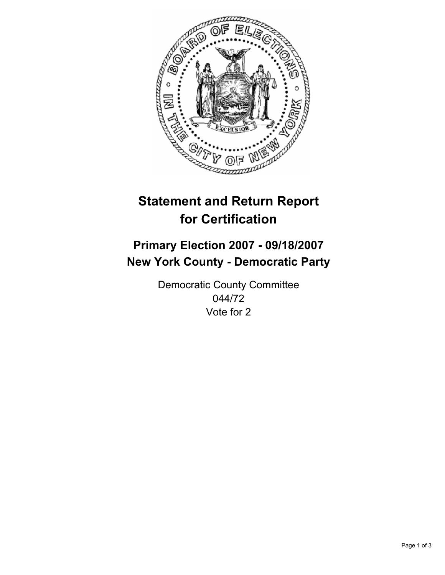

# **Statement and Return Report for Certification**

## **Primary Election 2007 - 09/18/2007 New York County - Democratic Party**

Democratic County Committee 044/72 Vote for 2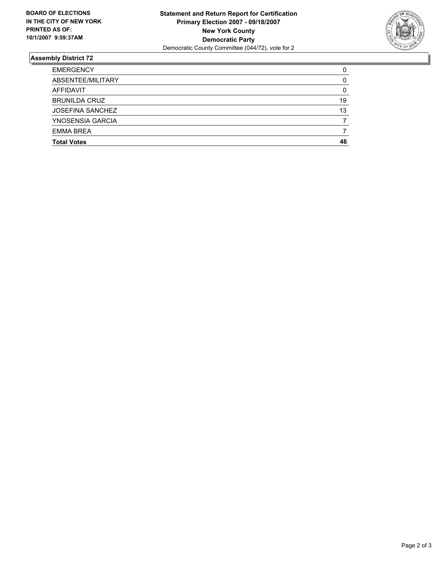

### **Assembly District 72**

| <b>EMERGENCY</b>        |    |
|-------------------------|----|
| ABSENTEE/MILITARY       |    |
| AFFIDAVIT               |    |
| <b>BRUNILDA CRUZ</b>    | 19 |
| <b>JOSEFINA SANCHEZ</b> | 13 |
| YNOSENSIA GARCIA        |    |
| <b>EMMA BREA</b>        |    |
| <b>Total Votes</b>      | 46 |